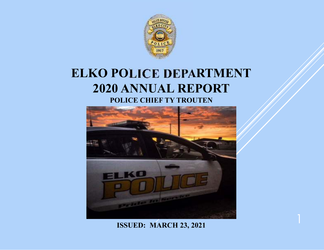

# **ELKO POLICE DEPARTMENT2020 ANNUAL REPORTPOLICE CHIEF TY TROUTEN**



**ISSUED: MARCH 23, 2021**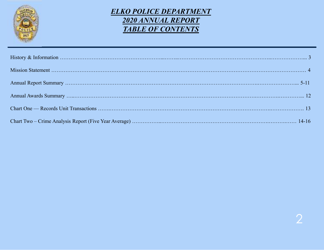

# *ELKO POLICE DEPARTMENT2020 ANNUAL REPORTTABLE OF CONTENTS*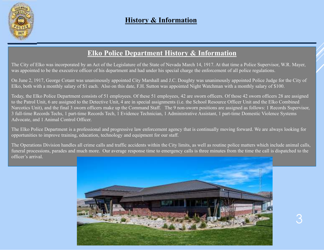

## **History & Information**

# **Elko Police Department History & Information**

The City of Elko was incorporated by an Act of the Legislature of the State of Nevada March 14, 1917. At that time a Police Supervisor, W.R. Mayer, was appointed to be the executive officer of his department and had under his special charge the enforcement of all police regulations.

On June 2, 1917, George Cotant was unanimously appointed City Marshall and J.C. Doughty was unanimously appointed Police Judge for the City of Elko, both with a monthly salary of \$1 each. Also on this date, F.H. Sutton was appointed Night Watchman with a monthly salary of \$100.

Today, the Elko Police Department consists of 51 employees. Of these 51 employees, 42 are sworn officers. Of those 42 sworn officers 28 are assigned to the Patrol Unit, 6 are assigned to the Detective Unit, 4 are in special assignments (i.e. the School Resource Officer Unit and the Elko Combined Narcotics Unit), and the final 3 sworn officers make up the Command Staff. The 9 non-sworn positions are assigned as follows: 1 Records Supervisor, 3 full-time Records Techs, 1 part-time Records Tech, 1 Evidence Technician, 1 Administrative Assistant, 1 part-time Domestic Violence Systems Advocate, and 1 Animal Control Officer.

The Elko Police Department is a professional and progressive law enforcement agency that is continually moving forward. We are always looking for opportunities to improve training, education, technology and equipment for our staff.

The Operations Division handles all crime calls and traffic accidents within the City limits, as well as routine police matters which include animal calls, funeral processions, parades and much more. Our average response time to emergency calls is three minutes from the time the call is dispatched to the officer's arrival.

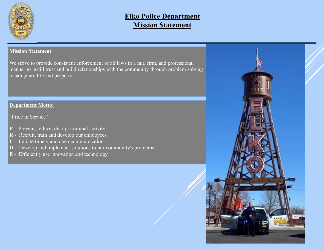

# **Elko Police DepartmentMission Statement**

#### **Mission Statement**

We strive to provide consistent enforcement of all laws in <sup>a</sup> fair, firm, and professional manner to instill trust and build relationships with the community through problem solving to safeguard life and property.

#### **Department Motto:**

"Pride in Service"

- **P** Prevent, reduce, disrupt criminal activity
- **R** Recruit, train and develop our employees
- **<sup>I</sup>** Initiate timely and open communication
- **D** Develop and implement solutions to our community's problems
- **<sup>E</sup>** Efficiently use innovation and technology

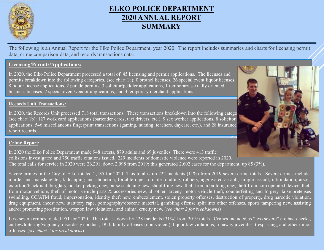

The following is an Annual Report for the Elko Police Department, year 2020. The report includes summaries and charts for licensing permit data, crime comparison data, and records transactions data.

#### **Licensing/Permits/Applications:**

In 2020, the Elko Police Department processed a total of 45 licensing and permit applications. The licenses and permits breakdown into the following categories, (see chart 1a): 0 brothel licenses, 26 special event liquor licenses, <sup>8</sup> liquor license applications, 2 parade permits, 3 solicitor/peddler applications, 1 temporary sexually oriented business licenses, 2 special event/vendor applications, and 3 temporary merchant applications.

#### **Records Unit Transactions:**

In 2020, the Records Unit processed 718 total transactions. These transactions breakdown into the following catego (see chart 1b): 127 work card applications (bartender cards, taxi drivers, etc.), 9 sex worker applications, 8 solicitor applications, 546 miscellaneous fingerprint transactions (gaming, nursing, teachers, daycare, etc.), and 28 insurancereport records.

#### **Crime Report:**

In 2020 the Elko Police Department made 948 arrests, 879 adults and 69 juveniles. There were 413 traffic collisions investigated and 750 traffic citations issued. 229 incidents of domestic violence were reported in 2020. The total calls for service in 2020 were 26,291, down 2,998 from 2019; this generated 2,602 cases for the department, up 85 (3%).

Severe crimes in the City of Elko totaled 2,185 for <sup>2020</sup> This total is up <sup>222</sup> incidents (11%) from <sup>2019</sup> severe crime totals. Severe crimes include: murder and manslaughter, kidnapping and abduction, forcible rape, forcible fondling, robbery, aggravated assault, simple assault, intimidation, arson, extortion/blackmail, burglary, pocket <sup>p</sup>icking new, purse snatching new, shoplifting new, theft from <sup>a</sup> building new, theft from coin operated device, theft from motor vehicle, theft of motor vehicle parts & accessories new, all other larceny, motor vehicle theft, counterfeiting and forgery, false pretenses swindling, CC/ATM fraud, impersonation, identity theft new, embezzlement, stolen property offenses, destruction of property, drug narcotic violation, drug equipment, incest new, statutory rape, pornography/obscene material, gambling offense split into other offenses, sports tampering new, assisting and/or promoting prostitution, weapon law violations, and animal cruelty new. (*see chart <sup>2</sup> for breakdowns*)

Less severe crimes totaled <sup>951</sup> for 2020. This total is down by <sup>428</sup> incidents (31%) from <sup>2019</sup> totals. Crimes included as "less severe" are bad checks, curfew/loitering/vagrancy, disorderly conduct, DUI, family offenses (non-violent), liquor law violations, runaway juveniles, trespassing, and other minor offenses. (*see chart <sup>2</sup> for breakdowns*)

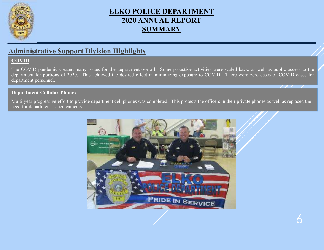

# **Administrative Support Division Highlights**

#### **COVID**

The COVID pandemic created many issues for the department overall. Some proactive activities were scaled back, as well as public access to the department for pertings of 2020. This achieved the desired effect in minimizing department for portions of 2020. This achieved the desired effect in minimizing exposure to COVID. There were zero cases of COVID cases for department personnel.

#### **Department Cellular Phones**

Multi-year progressive effort to provide department cell phones was completed. This protects the officers in their private phones as well as replaced the need for department issued cameras.

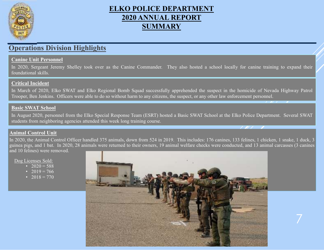

### **Operations Division Highlights**

#### **Canine Unit Personnel**

In 2020, Sergeant Jeremy Shelley took over as the Canine Commander. They also hosted <sup>a</sup> school locally for canine training to expand their foundational skills.

#### **Critical Incident**

In March of 2020, Elko SWAT and Elko Regional Bomb Squad successfully apprehended the suspec<sup>t</sup> in the homicide of Nevada Highway Patrol Trooper, Ben Jenkins. Officers were able to do so without harm to any citizens, the suspect, or any other law enforcement personnel.

#### **Basic SWAT School**

In August 2020, personne<sup>l</sup> from the Elko Special Response Team (ESRT) hosted <sup>a</sup> Basic SWAT School at the Elko Police Department. Several SWAT students from neighboring agencies attended this week long training course.

#### **Animal Control Unit**

In 2020, the Animal Control Officer handled <sup>375</sup> animals, down from <sup>524</sup> in 2019. This includes: <sup>176</sup> canines, <sup>133</sup> felines, <sup>1</sup> chicken, <sup>1</sup> snake, <sup>1</sup> duck, <sup>3</sup> guinea <sup>p</sup>igs, and <sup>1</sup> bat. In 2020, <sup>28</sup> animals were returned to their owners, <sup>19</sup> animal welfare checks were conducted, and <sup>13</sup> animal carcasses (3 canines and <sup>10</sup> felines) were removed.

Dog Licenses Sold:

- 2020 = 588
- 2019 = 766<br>• 2018 770
- 2018 = 770



7

T 11 T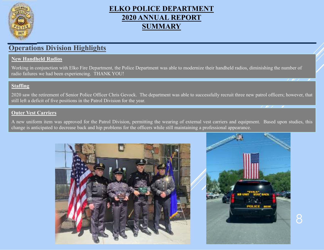

## **Operations Division Highlights**

#### **New Handheld Radios**

Working in conjunction with Elko Fire Department, the Police Department was able to modernize their handheld radios, diminishing the number of radio failures we had been experiencing. THANK YOU!

#### **Staffing**

2020 saw the retirement of Senior Police Officer Chris Gevock. The department was able to successfully recruit three new patrol officers; however, that still left <sup>a</sup> deficit of five positions in the Patrol Division for the year.

#### **Outer Vest Carriers**

<sup>A</sup> new uniform item was approved for the Patrol Division, permitting the wearing of external vest carriers and equipment. Based upon studies, this change is anticipated to decrease back and hip problems for the officers while still maintaining <sup>a</sup> professional appearance.



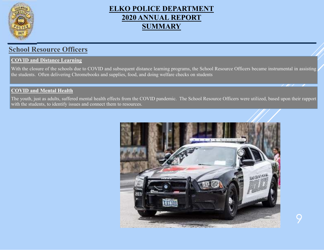

## **School Resource Officers**

#### **COVID and Distance Learning**

With the closure of the schools due to COVID and subsequent distance learning programs, the School Resource Officers became instrumental in assisting the students. Often delivering Chromebooks and supplies, food, and doing welfare checks on students

#### **COVID and Mental Health**

The youth, just as adults, suffered mental health effects from the COVID pandemic. The School Resource Officers were utilized, based upon their rappor<sup>t</sup> with the students, to identify issues and connect them to resources.

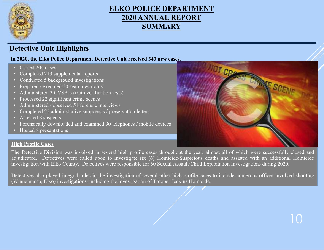

# **Detective Unit Highlights**

#### **In 2020, the Elko Police Department Detective Unit received 343 new cases.**

- Closed 204 cases
- Completed 213 supplemental reports
- Conducted 5 background investigations
- Prepared / executed 50 search warrants
- Administered 3 CVSA's (truth verification tests)
- Processed 22 significant crime scenes
- Administered / observed 54 forensic interviews
- Completed 25 administrative subpoenas / preservation letters
- Arrested 8 suspects
- Forensically downloaded and examined 90 telephones / mobile devices
- Hosted 8 presentations

# **High Profile Cases**

The Detective Division was involved in several high profile cases throughout the year, almost all of which were successfully closed and adjudicated. Detectives were called upon to investigate six (6) Homicide/Suspicious deaths and assisted with an additional Homicide investigation with Elko County. Detectives were responsible for <sup>60</sup> Sexual Assault/Child Exploitation Investigations during 2020.

Detectives also <sup>p</sup>layed integral roles in the investigation of several other high profile cases to include numerous officer involved shooting (Winnemucca, Elko) investigations, including the investigation of Trooper Jenkins Homicide.

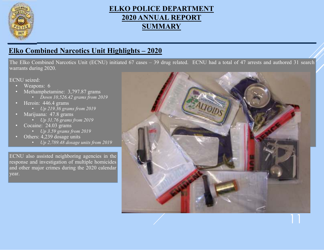

# **Elko Combined Narcotics Unit Highlights – <sup>2020</sup>**

The Elko Combined Narcotics Unit (ECNU) initiated <sup>67</sup> cases – <sup>39</sup> drug related. ECNU had <sup>a</sup> total of <sup>47</sup> arrests and authored <sup>31</sup> search warrants during 2020.

ECNU seized:

- •Weapons: <sup>6</sup>
- • Methamphetamine: 3,797.87 grams
	- *Down 10,526.42 grams from <sup>2019</sup>*
- Heroin: 446.4 grams
	- •*Up 219.36 grams from <sup>2019</sup>*
- Marijuana: 47.8 grams
	- *Up 31.76 grams from <sup>2019</sup>*
- • Cocaine: 24.03 grams
	- *Up 3.59 grams from <sup>2019</sup>*
- • Others: 4,239 dosage units
	- *Up 2,789.48 dosage units from <sup>2019</sup>*

ECNU also assisted neighboring agencies in the response and investigation of multiple homicides and other major crimes during the <sup>2020</sup> calendar year.

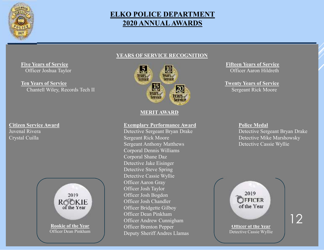

# **ELKO POLICE DEPARTMENT2020 ANNUAL AWARDS**

#### **YEARS OF SERVICE RECOGNITION**

**Five Years of Service**Officer Joshua Taylor

**Ten Years of Service**Chantell Wiley, Records Tech II Service Chantell Wiley, Records Tech II

**Citizen Service Award**<br> **Exemplary Performance Award**<br> **Exemplary Performance Award**<br> **Police Medal**<br>
Detective Sergeant Bryan Drake<br>
Detective Sergeant Bryan Drake Crystal Cuilla





#### **MERIT AWARD**

Detective Sergeant Bryan Drake<br>Sergeant Rick Moore Sergeant Anthony Matthews Corporal Dennis WilliamsCorporal Shane Daz Detective Jake Eisinger Detective Steve Spring Detective Cassie WyllieOfficer Aaron Gray Officer Josh Taylor Officer Josh Bogdon Officer Josh Chandler Officer Bridgette GilboyOfficer Dean Pinkham Officer Andrew CunnighamOfficer Brenton PepperDeputy Sheriff Andres Llamas

**Fifteen Years of Service**<br> **Fifteen Years of Service**<br> **Fifteen Years of Service**<br> **Fifteen Years of Service** 

Twenty Years of Service<br>Sergeant Rick Moore

Detective Mike Marshowsky<br>Detective Cassie Wyllie

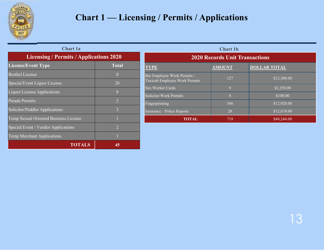

# **Chart 1 — Licensing / Permits / Applications**

| <b>Chart 1a</b>                                        |                                                |                                                              | <b>Chart 1b</b> |  |  |
|--------------------------------------------------------|------------------------------------------------|--------------------------------------------------------------|-----------------|--|--|
|                                                        | <b>Licensing / Permits / Applications 2020</b> |                                                              |                 |  |  |
| <b>License/Event Type</b>                              | <b>Total</b>                                   | <b>TYPE</b>                                                  | <b>AMOUNT</b>   |  |  |
| <b>Brothel License</b><br>Special Event Liquor License | $\overline{0}$<br>26                           | Bar Employee Work Permits /<br>Taxicab Employee Work Permits | 127             |  |  |
| <b>Liquor License Applications</b>                     | 8                                              | <b>Sex Worker Cards</b>                                      | 9               |  |  |
| Parade Permits                                         | $\overline{2}$                                 | Solicitor Work Permits<br>Fingerprinting                     | 8<br>546        |  |  |
| Solicitor/Peddler Applications                         | 3                                              | Insurance - Police Reports                                   | 28              |  |  |
| Temp Sexual Oriented Business License                  |                                                | <b>TOTAL</b>                                                 | 718             |  |  |
| Special Event / Vendor Applications                    | $\overline{2}$                                 |                                                              |                 |  |  |
| <b>Temp Merchant Applications</b>                      | 3                                              |                                                              |                 |  |  |
| <b>TOTALS</b>                                          | 45                                             |                                                              |                 |  |  |

| <b>Chart 1b</b>                                              |               |                     |  |  |  |  |  |  |  |
|--------------------------------------------------------------|---------------|---------------------|--|--|--|--|--|--|--|
| <b>2020 Records Unit Transactions</b>                        |               |                     |  |  |  |  |  |  |  |
| <b>TYPE</b>                                                  | <b>AMOUNT</b> | <b>DOLLAR TOTAL</b> |  |  |  |  |  |  |  |
| Bar Employee Work Permits /<br>Taxicab Employee Work Permits | 127           | \$12,300.00         |  |  |  |  |  |  |  |
| Sex Worker Cards                                             | $\mathbf Q$   | \$2,250.00          |  |  |  |  |  |  |  |
| <b>Solicitor Work Permits</b>                                | 8             | \$100.00            |  |  |  |  |  |  |  |
| Fingerprinting                                               | 546           | \$12,920.00         |  |  |  |  |  |  |  |
| Insurance - Police Reports                                   | 28            | \$12,674.00         |  |  |  |  |  |  |  |
| <b>TOTAL</b>                                                 | 718           | \$40,244.00         |  |  |  |  |  |  |  |
|                                                              |               |                     |  |  |  |  |  |  |  |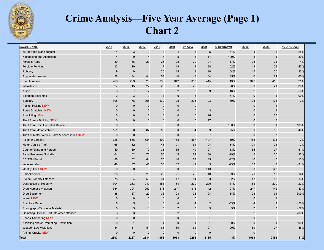

# **Crime Analysis—Five Year Average (Page 1)Chart 2**

| <b>Severe Crime</b>                            | 2015           | 2016           | 2017     | 2018           | 2019           | 5Y AVG         | 2020           | % UP/DOWN | 2019           | 2020           | % UP/DOWN |
|------------------------------------------------|----------------|----------------|----------|----------------|----------------|----------------|----------------|-----------|----------------|----------------|-----------|
| Murder and Manslaughter                        | $\overline{4}$ | $\mathbf{3}$   | 3        | $\mathbf{3}$   | $\overline{4}$ | 3              | $\overline{5}$ | 54%       | $\overline{4}$ | $\sqrt{5}$     | 25%       |
| Kidnapping and Abduction                       | $\overline{4}$ | $\Omega$       |          | $\mathbf{3}$   | 5              | 3              | 14             | 409%      | 5              | 14             | 180%      |
| Forcible Rape                                  | 30             | 36             | 23       | 26             | 25             | 29             | 24             | $-17%$    | 25             | 24             | $-4%$     |
| Forcible Fondling                              | 12             | 10             | 11       | 17             | 19             | 13             | 28             | 52%       | 19             | 28             | 47%       |
| Robbery                                        | 9              | 9              | 14       | 20             | 15             | 13             | 20             | 54%       | 15             | 20             | 33%       |
| <b>Aggravated Assault</b>                      | 58             | 34             | 44       | 53             | 40             | 47             | 64             | 35%       | 40             | 64             | 60%       |
| Simple Assault                                 | 269            | 283            | 323      | 336            | 342            | 303            | 415            | 13%       | 342            | 415            | 21%       |
| Intimidation                                   | 27             | 15             | 27       | 20             | 30             | 22             | 21             | $-6%$     | 30             | 21             | $-30%$    |
| Arson                                          | 3              | $\overline{7}$ | 12       | 9              | $\overline{2}$ | 8              | 9              | 16%       | $\overline{2}$ | 9              | 350%      |
| <b>Extortion/Blackmail</b>                     | $\overline{2}$ | 3              | 3        | $\overline{4}$ | $\overline{0}$ | 3              | $\mathbf 1$    | $-67%$    | $\mathbf{0}$   | $\overline{1}$ | 100%      |
| <b>Burglary</b>                                | 305            | 178            | 208      | 130            | 125            | 205            | 123            | $-39%$    | 125            | 123            | $-2%$     |
| <b>Pocket Picking NEW</b>                      | $\Omega$       | $\mathbf 0$    | $\Omega$ | $\mathbf{0}$   | $\Omega$       | $\Omega$       |                |           | $\mathbf 0$    | $\overline{1}$ |           |
| <b>Purse Snatching NEW</b>                     | $\Omega$       | $\Omega$       | $\Omega$ | $\mathbf 0$    | 0              | $\mathbf 0$    | $\mathbf{3}$   |           | $\mathbf 0$    | 3              |           |
| <b>Shoplifting NEW</b>                         | $\mathbf{0}$   | $\mathbf 0$    | $\Omega$ | $\mathbf 0$    | 0              | $\mathbf 0$    | 26             |           | $\mathbf 0$    | 26             |           |
| Theft from a Building NEW                      | $\Omega$       | $\mathbf 0$    | $\Omega$ | $\mathbf 0$    | $\Omega$       | $\Omega$       | 17             |           | $\mathbf 0$    | 17             |           |
| Theft from Coin Operated Device                | $\Omega$       |                | $\Omega$ | $\mathbf 0$    | $\mathbf 0$    | $\Omega$       |                | 100%      | $\Omega$       | $\overline{1}$ | 100%      |
| Theft from Motor Vehicle                       | 151            | 80             | 87       | 56             | 60             | 94             | 89             | $-5%$     | 60             | 89             | 48%       |
| Theft of Motor Vehicle Parts & Accessories NEW | $\mathbf{0}$   | $\mathbf{0}$   | $\Omega$ | $\mathbf 0$    | $\mathbf 0$    | $\Omega$       | $\overline{7}$ |           | $\mathbf 0$    | $\overline{7}$ |           |
| All other Larceny                              | 725            | 566            | 584      | 392            | 458            | 567            | 424            | $-19%$    | 458            | 424            | $-7%$     |
| Motor Vehicle Theft                            | 68             | 62             | 71       | 43             | 101            | 61             | 94             | 54%       | 101            | 94             | $-7%$     |
| Counterfeiting and Forgery                     | 49             | 39             | 70       | 36             | 55             | 49             | 27             | 13%       | 55             | 27             | $-51%$    |
| <b>False Pretenses Swindling</b>               | 64             | 62             | 73       | 55             | 45             | 64             | 30             | $-29%$    | 45             | 30             | $-33%$    |
| <b>CC/ATM Fraud</b>                            | 86             | 52             | 64       | 75             | 40             | 69             | 45             | $-42%$    | 40             | 45             | 13%       |
| Impersonation                                  | 48             | 37             | 46       | 38             | 32             | 42             | 3              | $-93%$    | 32             | 3              | $-91%$    |
| <b>Identity Theft NEW</b>                      | $\Omega$       | $\mathbf 0$    | $\Omega$ | $\mathbf 0$    | $\mathbf 0$    | $\mathbf 0$    | 143            |           | $\mathbf 0$    | 143            |           |
| Embezzlement                                   | 25             | 27             | 25       | 25             | 21             | 26             | 18             | $-29%$    | 21             | 18             | $-14%$    |
| <b>Stolen Property Offenses</b>                | 75             | 54             | 56       | 31             | 47             | 54             | 53             | $-2%$     | 47             | 53             | 13%       |
| <b>Destruction of Property</b>                 | 304            | 253            | 249      | 151            | 164            | 239            | 200            | $-31%$    | 164            | 200            | 22%       |
| Drug Narcotic Violation                        | 354            | 324            | 257      | 316            | 247            | 313            | 142            | $-21%$    | 247            | 142            | $-43%$    |
| Drug Equipment                                 | 38             | 37             | 27       | 38             | 23             | 35             | 94             | $-34%$    | 23             | 94             | 309%      |
| <b>Incest NEW</b>                              | $\Omega$       | $\Omega$       |          | $\Omega$       | $\Omega$       | $\Omega$       |                |           | $\mathbf{0}$   | 1              |           |
| <b>Statutory Rape</b>                          | 6              | 5              |          | 5              | 4              |                | $\overline{2}$ | $-53%$    | $\overline{4}$ | $\overline{2}$ | $-50%$    |
| Pornography/Obscene Material                   | $\mathbf{0}$   | 5              |          | 5              | 7              | 3              | 3              | 9%        | $\overline{7}$ | 3              | $-57%$    |
| Gambling Offense Split into other offenses     | 3              | 3              | $\Omega$ | $\mathbf 0$    | $\overline{2}$ | $\overline{2}$ |                |           | $\overline{2}$ | $\pmb{0}$      | 200%      |
| <b>Sports Tampering NEW</b>                    | $\Omega$       | $\mathbf 0$    | $\Omega$ | $\mathbf 0$    | 0              | $\mathbf 0$    |                |           | $\mathbf{0}$   |                |           |
| Assisting and/or Promoting Prostitution        | $\mathbf 0$    | $\overline{1}$ | $\Omega$ | $\overline{1}$ | $\mathbf 0$    |                | $\overline{1}$ | 0%        | $\mathbf{0}$   | $\overline{1}$ | 100%      |
| <b>Weapon Law Violations</b>                   | 84             | 51             | 51       | 63             | 50             | 62             | 27             | $-20%$    | 50             | 27             | $-46%$    |
| <b>Animal Cruelty NEW</b>                      | $\Omega$       | $\mathbf 0$    | $\Omega$ | $\pmb{0}$      | $\overline{0}$ | $\mathbf{0}$   | g              |           | $\Omega$       |                |           |
| <u>Total</u>                                   | 2803           | 2237           | 2334     | 1951           | 1963           | 2258           | 2185           | $-3%$     | 1963           | 2185           | 11%       |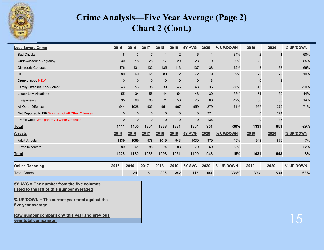

# **Crime Analysis—Five Year Average (Page 2)Chart 2 (Cont.)**

| <b>Less Severe Crime</b>                           | 2015           | 2016        | 2017           | 2018        | 2019           | 5Y AVG      | 2020 | % UP/DOWN | 2019           | 2020 | % UP/DOWN |
|----------------------------------------------------|----------------|-------------|----------------|-------------|----------------|-------------|------|-----------|----------------|------|-----------|
| <b>Bad Checks</b>                                  | 18             | 3           | $\overline{7}$ |             | $\overline{2}$ | 6           |      | $-84%$    | $\overline{2}$ |      | $-50%$    |
| Curfew/loitering/Vagrancy                          | 30             | 18          | 28             | 17          | 20             | 23          | 9    | $-60%$    | 20             |      | $-55%$    |
| <b>Disorderly Conduct</b>                          | 176            | 131         | 132            | 135         | 113            | 137         | 38   | $-72%$    | 113            | 38   | $-66%$    |
| <b>DUI</b>                                         | 80             | 69          | 61             | 80          | 72             | 72          | 79   | 9%        | 72             | 79   | 10%       |
| <b>Drunkenness NEW</b>                             | $\overline{0}$ | $\mathbf 0$ | $\mathbf 0$    | $\mathbf 0$ | $\mathbf 0$    | 0           | 3    |           | $\mathbf 0$    | 3    |           |
| Family Offenses Non-Violent                        | 43             | 53          | 35             | 39          | 45             | 43          | 36   | $-16%$    | 45             | 36   | $-20%$    |
| <b>Liquor Law Violations</b>                       | 55             | 34          | 55             | 44          | 54             | 48          | 30   | $-38%$    | 54             | 30   | $-44%$    |
| Trespassing                                        | 95             | 69          | 83             | 71          | 58             | 75          | 66   | $-12%$    | 58             | 66   | 14%       |
| All Other Offenses                                 | 944            | 1028        | 903            | 951         | 967            | 959         | 279  | $-71%$    | 967            | 279  | $-71%$    |
| Not Reported to IBR Was part of All Other Offenses | $\mathbf 0$    | $\mathbf 0$ | $\mathbf 0$    | $\mathbf 0$ | $\mathbf 0$    | 0           | 274  |           | $\Omega$       | 274  |           |
| Traffic Code Was part of All Other Offenses        | $\mathbf 0$    | $\mathbf 0$ | $\mathbf 0$    | $\mathbf 0$ | $\mathbf 0$    | $\mathbf 0$ | 136  |           | $\Omega$       | 136  |           |
| Total                                              | 1441           | 1405        | 1304           | 1338        | 1331           | 1364        | 951  | $-30%$    | 1331           | 951  | $-29%$    |
| <b>Arrests</b>                                     | 2015           | 2016        | 2017           | 2018        | 2019           | 5Y AVG      | 2020 | % UP/DOWN | 2019           | 2020 | % UP/DOWN |
| <b>Adult Arrests</b>                               | 1139           | 1069        | 978            | 1019        | 943            | 1030        | 879  | $-15%$    | 943            | 879  | $-7%$     |
| <b>Juvenile Arrests</b>                            | 89             | 61          | 85             | 74          | 88             | 79          | 69   | $-13%$    | 88             | 69   | $-22%$    |
| <u>Total</u>                                       | 1228           | 1130        | 1063           | 1093        | 1031           | 1109        | 948  | $-15%$    | 1031           | 948  | $-8%$     |
|                                                    |                |             |                |             |                |             |      |           |                |      |           |
| <b>Online Reporting</b>                            | 2015           | 2016        | 2017           | 2018        | 2019           | 5Y AVG      | 2020 | % UP/DOWN | 2019           | 2020 | % UP/DOWN |
| <b>Total Cases</b>                                 |                | 24          | 51             | 206         | 303            | 117         | 509  | 336%      | 303            | 509  | 68%       |

**5Y AVG = The number from the five columnslisted to the left of this number averaged**

**% UP/DOWN = The current year total against the five year average.**

**Raw number comparison= this year and previousyear total comparison**